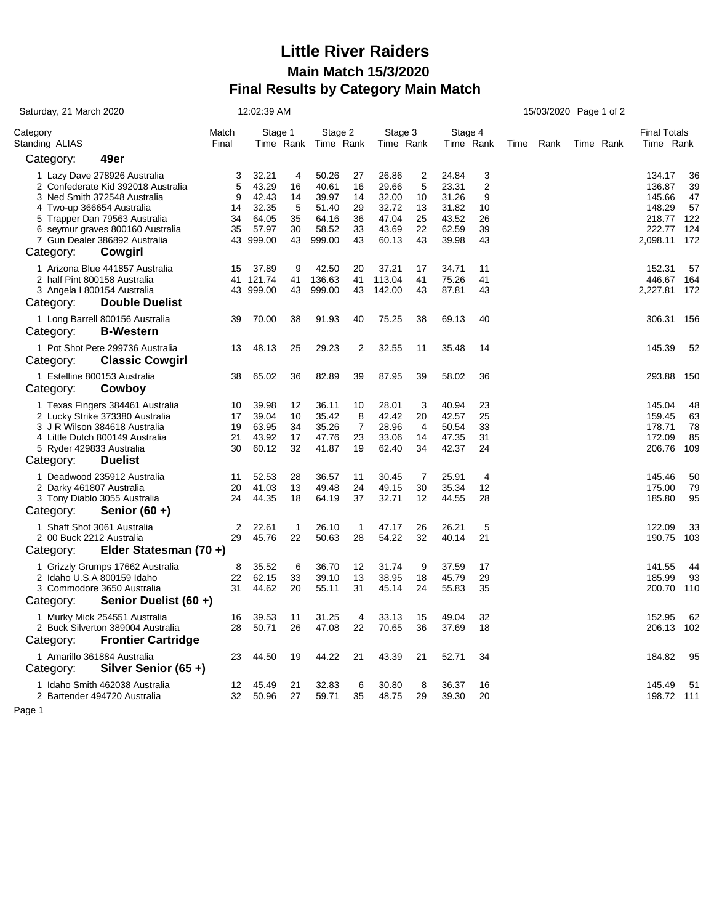## **Little River Raiders Main Match 15/3/2020 Final Results by Category Main Match**

| Saturday, 21 March 2020                                                                                                                                                                                                                                       | 12:02:39 AM                   |                                                                 |                                      | 15/03/2020 Page 1 of 2                                       |                                        |                                                             |                                      |                                                             |                                                  |  |           |  |           |                                                                      |                                           |
|---------------------------------------------------------------------------------------------------------------------------------------------------------------------------------------------------------------------------------------------------------------|-------------------------------|-----------------------------------------------------------------|--------------------------------------|--------------------------------------------------------------|----------------------------------------|-------------------------------------------------------------|--------------------------------------|-------------------------------------------------------------|--------------------------------------------------|--|-----------|--|-----------|----------------------------------------------------------------------|-------------------------------------------|
| Category<br>Standing ALIAS                                                                                                                                                                                                                                    | Match<br>Final                | Stage 1<br>Time Rank                                            |                                      | Stage 2<br>Time Rank                                         |                                        | Stage 3<br>Time Rank                                        |                                      | Stage 4<br>Time Rank                                        |                                                  |  | Time Rank |  | Time Rank | <b>Final Totals</b><br>Time Rank                                     |                                           |
| 49er<br>Category:                                                                                                                                                                                                                                             |                               |                                                                 |                                      |                                                              |                                        |                                                             |                                      |                                                             |                                                  |  |           |  |           |                                                                      |                                           |
| 1 Lazy Dave 278926 Australia<br>2 Confederate Kid 392018 Australia<br>3 Ned Smith 372548 Australia<br>4 Two-up 366654 Australia<br>5 Trapper Dan 79563 Australia<br>6 seymur graves 800160 Australia<br>7 Gun Dealer 386892 Australia<br>Category:<br>Cowgirl | 3<br>5<br>9<br>14<br>34<br>35 | 32.21<br>43.29<br>42.43<br>32.35<br>64.05<br>57.97<br>43 999.00 | 4<br>16<br>14<br>5<br>35<br>30<br>43 | 50.26<br>40.61<br>39.97<br>51.40<br>64.16<br>58.52<br>999.00 | 27<br>16<br>14<br>29<br>36<br>33<br>43 | 26.86<br>29.66<br>32.00<br>32.72<br>47.04<br>43.69<br>60.13 | 2<br>5<br>10<br>13<br>25<br>22<br>43 | 24.84<br>23.31<br>31.26<br>31.82<br>43.52<br>62.59<br>39.98 | 3<br>$\overline{2}$<br>9<br>10<br>26<br>39<br>43 |  |           |  |           | 134.17<br>136.87<br>145.66<br>148.29<br>218.77<br>222.77<br>2,098.11 | 36<br>39<br>47<br>57<br>122<br>124<br>172 |
| 1 Arizona Blue 441857 Australia                                                                                                                                                                                                                               | 15                            | 37.89                                                           | 9                                    | 42.50                                                        | 20                                     | 37.21                                                       | 17                                   | 34.71                                                       | 11                                               |  |           |  |           | 152.31                                                               | 57                                        |
| 2 half Pint 800158 Australia                                                                                                                                                                                                                                  |                               | 41 121.74                                                       | 41                                   | 136.63                                                       | 41                                     | 113.04                                                      | 41                                   | 75.26                                                       | 41                                               |  |           |  |           | 446.67                                                               | 164                                       |
| 3 Angela I 800154 Australia<br><b>Double Duelist</b><br>Category:                                                                                                                                                                                             |                               | 43 999.00                                                       | 43                                   | 999.00                                                       | 43                                     | 142.00                                                      | 43                                   | 87.81                                                       | 43                                               |  |           |  |           | 2,227.81 172                                                         |                                           |
| 1 Long Barrell 800156 Australia<br>Category:<br><b>B-Western</b>                                                                                                                                                                                              | 39                            | 70.00                                                           | 38                                   | 91.93                                                        | 40                                     | 75.25                                                       | 38                                   | 69.13                                                       | 40                                               |  |           |  |           | 306.31                                                               | 156                                       |
| 1 Pot Shot Pete 299736 Australia<br><b>Classic Cowgirl</b><br>Category:                                                                                                                                                                                       | 13                            | 48.13                                                           | 25                                   | 29.23                                                        | 2                                      | 32.55                                                       | 11                                   | 35.48                                                       | 14                                               |  |           |  |           | 145.39                                                               | 52                                        |
| 1 Estelline 800153 Australia<br>Category:<br>Cowboy                                                                                                                                                                                                           | 38                            | 65.02                                                           | 36                                   | 82.89                                                        | 39                                     | 87.95                                                       | 39                                   | 58.02                                                       | 36                                               |  |           |  |           | 293.88                                                               | 150                                       |
| 1 Texas Fingers 384461 Australia<br>2 Lucky Strike 373380 Australia<br>3 J R Wilson 384618 Australia<br>4 Little Dutch 800149 Australia<br>5 Ryder 429833 Australia<br><b>Duelist</b><br>Category:                                                            | 10<br>17<br>19<br>21<br>30    | 39.98<br>39.04<br>63.95<br>43.92<br>60.12                       | 12<br>10<br>34<br>17<br>32           | 36.11<br>35.42<br>35.26<br>47.76<br>41.87                    | 10<br>8<br>$\overline{7}$<br>23<br>19  | 28.01<br>42.42<br>28.96<br>33.06<br>62.40                   | 3<br>20<br>4<br>14<br>34             | 40.94<br>42.57<br>50.54<br>47.35<br>42.37                   | 23<br>25<br>33<br>31<br>24                       |  |           |  |           | 145.04<br>159.45<br>178.71<br>172.09<br>206.76                       | 48<br>63<br>78<br>85<br>109               |
| 1 Deadwood 235912 Australia                                                                                                                                                                                                                                   | 11                            | 52.53                                                           | 28                                   | 36.57                                                        | 11                                     | 30.45                                                       | $\overline{7}$                       | 25.91                                                       | 4                                                |  |           |  |           | 145.46                                                               | 50                                        |
| 2 Darky 461807 Australia                                                                                                                                                                                                                                      | 20                            | 41.03                                                           | 13                                   | 49.48                                                        | 24                                     | 49.15                                                       | 30                                   | 35.34                                                       | 12                                               |  |           |  |           | 175.00                                                               | 79                                        |
| 3 Tony Diablo 3055 Australia<br>Senior $(60 +)$<br>Category:                                                                                                                                                                                                  | 24                            | 44.35                                                           | 18                                   | 64.19                                                        | 37                                     | 32.71                                                       | 12                                   | 44.55                                                       | 28                                               |  |           |  |           | 185.80                                                               | 95                                        |
| 1 Shaft Shot 3061 Australia                                                                                                                                                                                                                                   | 2                             | 22.61                                                           | $\mathbf{1}$                         | 26.10                                                        | $\mathbf{1}$                           | 47.17                                                       | 26                                   | 26.21                                                       | 5                                                |  |           |  |           | 122.09                                                               | 33                                        |
| 2 00 Buck 2212 Australia                                                                                                                                                                                                                                      | 29                            | 45.76                                                           | 22                                   | 50.63                                                        | 28                                     | 54.22                                                       | 32                                   | 40.14                                                       | 21                                               |  |           |  |           | 190.75                                                               | 103                                       |
| Elder Statesman (70+)<br>Category:                                                                                                                                                                                                                            |                               |                                                                 |                                      |                                                              |                                        |                                                             |                                      |                                                             |                                                  |  |           |  |           |                                                                      |                                           |
| 1 Grizzly Grumps 17662 Australia                                                                                                                                                                                                                              | 8                             | 35.52                                                           | 6                                    | 36.70                                                        | 12                                     | 31.74                                                       | 9                                    | 37.59                                                       | 17                                               |  |           |  |           | 141.55                                                               | 44                                        |
| 2 Idaho U.S.A 800159 Idaho<br>3 Commodore 3650 Australia                                                                                                                                                                                                      | 22<br>31                      | 62.15<br>44.62                                                  | 33<br>20                             | 39.10<br>55.11                                               | 13<br>31                               | 38.95<br>45.14                                              | 18<br>24                             | 45.79<br>55.83                                              | 29<br>35                                         |  |           |  |           | 185.99<br>200.70                                                     | 93<br>110                                 |
| Senior Duelist (60 +)<br>Category:                                                                                                                                                                                                                            |                               |                                                                 |                                      |                                                              |                                        |                                                             |                                      |                                                             |                                                  |  |           |  |           |                                                                      |                                           |
| 1 Murky Mick 254551 Australia<br>2 Buck Silverton 389004 Australia                                                                                                                                                                                            | 16<br>28                      | 39.53<br>50.71                                                  | 11<br>26                             | 31.25<br>47.08                                               | 4<br>22                                | 33.13<br>70.65                                              | 15<br>36                             | 49.04<br>37.69                                              | 32<br>18                                         |  |           |  |           | 152.95<br>206.13                                                     | 62<br>102                                 |
| <b>Frontier Cartridge</b><br>Category:                                                                                                                                                                                                                        |                               |                                                                 |                                      |                                                              |                                        |                                                             |                                      |                                                             |                                                  |  |           |  |           |                                                                      |                                           |
| 1 Amarillo 361884 Australia<br>Silver Senior (65+)<br>Category:                                                                                                                                                                                               | 23                            | 44.50                                                           | 19                                   | 44.22                                                        | 21                                     | 43.39                                                       | 21                                   | 52.71                                                       | 34                                               |  |           |  |           | 184.82                                                               | 95                                        |
| 1 Idaho Smith 462038 Australia<br>2 Bartender 494720 Australia                                                                                                                                                                                                | 12<br>32                      | 45.49<br>50.96                                                  | 21<br>27                             | 32.83<br>59.71                                               | 6<br>35                                | 30.80<br>48.75                                              | 8<br>29                              | 36.37<br>39.30                                              | 16<br>20                                         |  |           |  |           | 145.49<br>198.72 111                                                 | 51                                        |
| Page 1                                                                                                                                                                                                                                                        |                               |                                                                 |                                      |                                                              |                                        |                                                             |                                      |                                                             |                                                  |  |           |  |           |                                                                      |                                           |